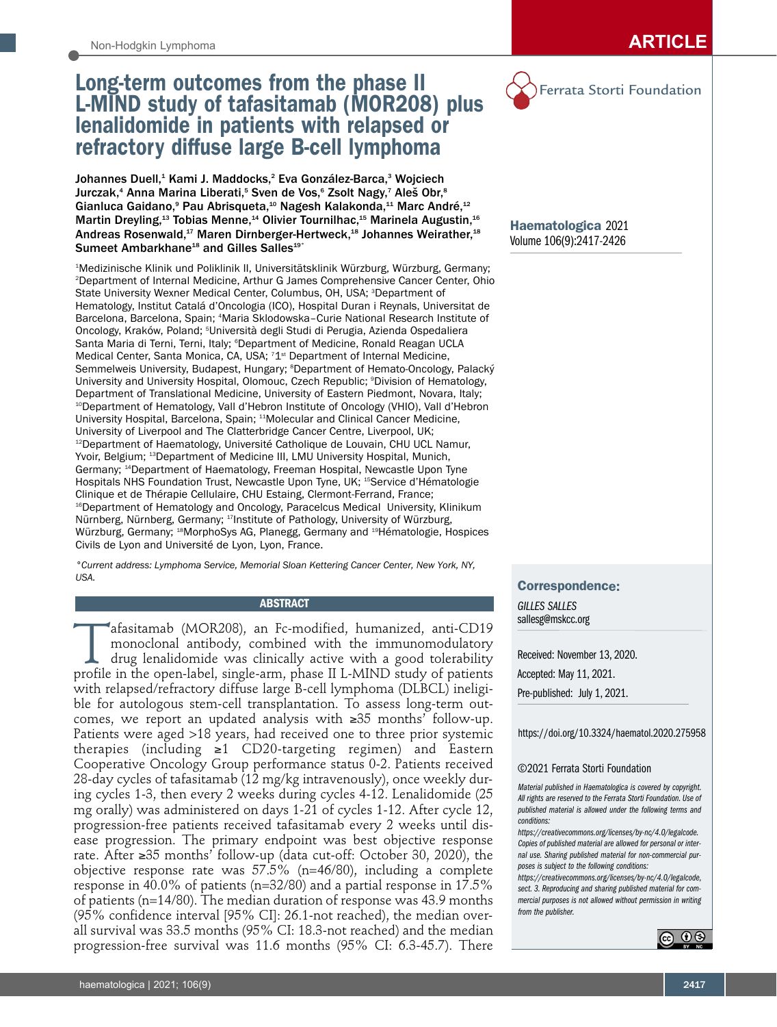# Long-term outcomes from the phase II L-MIND study of tafasitamab (MOR208) plus lenalidomide in patients with relapsed or refractory diffuse large B-cell lymphoma

Johannes Duell,<sup>1</sup> Kami J. Maddocks,<sup>2</sup> Eva González-Barca,<sup>3</sup> Wojciech Jurczak, $^{\text{4}}$  Anna Marina Liberati, $^{\text{5}}$  Sven de Vos, $^{\text{6}}$  Zsolt Nagy, $^{\text{7}}$  Aleš Obr, $^{\text{8}}$ Gianluca Gaidano,<sup>9</sup> Pau Abrisqueta,<sup>10</sup> Nagesh Kalakonda,<sup>11</sup> Marc André,<sup>12</sup> Martin Dreyling,<sup>13</sup> Tobias Menne,<sup>14</sup> Olivier Tournilhac,<sup>15</sup> Marinela Augustin,<sup>16</sup> Andreas Rosenwald,<sup>17</sup> Maren Dirnberger-Hertweck,<sup>18</sup> Johannes Weirather,<sup>18</sup> Sumeet Ambarkhane<sup>18</sup> and Gilles Salles<sup>19°</sup>

1 Medizinische Klinik und Poliklinik II, Universitätsklinik Würzburg, Würzburg, Germany; 2 Department of Internal Medicine, Arthur G James Comprehensive Cancer Center, Ohio State University Wexner Medical Center, Columbus, OH, USA; <sup>3</sup>Department of Hematology, Institut Catalá d'Oncologia (ICO), Hospital Duran i Reynals, Universitat de Barcelona, Barcelona, Spain; 4 Maria Sklodowska–Curie National Research Institute of Oncology, Kraków, Poland; <sup>s</sup>Università degli Studi di Perugia, Azienda Ospedaliera Santa Maria di Terni, Terni, Italy; <sup>e</sup>Department of Medicine, Ronald Reagan UCLA Medical Center, Santa Monica, CA, USA; 71st Department of Internal Medicine, Semmelweis University, Budapest, Hungary; <sup>8</sup>Department of Hemato-Oncology, Palacký University and University Hospital, Olomouc, Czech Republic; <sup>9</sup>Division of Hematology, Department of Translational Medicine, University of Eastern Piedmont, Novara, Italy; <sup>10</sup>Department of Hematology, Vall d'Hebron Institute of Oncology (VHIO), Vall d'Hebron University Hospital, Barcelona, Spain; <sup>11</sup>Molecular and Clinical Cancer Medicine, University of Liverpool and The Clatterbridge Cancer Centre, Liverpool, UK; <sup>12</sup>Department of Haematology, Université Catholique de Louvain, CHU UCL Namur, Yvoir, Belgium; <sup>13</sup>Department of Medicine III, LMU University Hospital, Munich, Germany; 14Department of Haematology, Freeman Hospital, Newcastle Upon Tyne Hospitals NHS Foundation Trust, Newcastle Upon Tyne, UK; 15Service d'Hématologie Clinique et de Thérapie Cellulaire, CHU Estaing, Clermont-Ferrand, France; <sup>16</sup>Department of Hematology and Oncology, Paracelcus Medical University, Klinikum Nürnberg, Nürnberg, Germany; 17Institute of Pathology, University of Würzburg, Würzburg, Germany; 18MorphoSys AG, Planegg, Germany and 19Hématologie, Hospices Civils de Lyon and Université de Lyon, Lyon, France.

*°Current address: Lymphoma Service, Memorial Sloan Kettering Cancer Center, New York, NY, USA.*

## **ABSTRACT**

afasitamab (MOR208), an Fc-modified, humanized, anti-CD19<br>monoclonal antibody, combined with the immunomodulatory<br>drug lenalidomide was clinically active with a good tolerability<br>profile in the open-label. single-arm. phas monoclonal antibody, combined with the immunomodulatory drug lenalidomide was clinically active with a good tolerability profile in the open-label, single-arm, phase II L-MIND study of patients with relapsed/refractory diffuse large B-cell lymphoma (DLBCL) ineligible for autologous stem-cell transplantation. To assess long-term outcomes, we report an updated analysis with ≥35 months' follow-up. Patients were aged >18 years, had received one to three prior systemic therapies (including ≥1 CD20-targeting regimen) and Eastern Cooperative Oncology Group performance status 0-2. Patients received 28-day cycles of tafasitamab (12 mg/kg intravenously), once weekly during cycles 1-3, then every 2 weeks during cycles 4-12. Lenalidomide (25 mg orally) was administered on days 1-21 of cycles 1-12. After cycle 12, progression-free patients received tafasitamab every 2 weeks until disease progression. The primary endpoint was best objective response rate. After ≥35 months' follow-up (data cut-off: October 30, 2020), the objective response rate was 57.5% (n=46/80), including a complete response in 40.0% of patients (n=32/80) and a partial response in 17.5% of patients (n=14/80). The median duration of response was 43.9 months (95% confidence interval [95% CI]: 26.1-not reached), the median overall survival was 33.5 months (95% CI: 18.3-not reached) and the median progression-free survival was 11.6 months (95% CI: 6.3-45.7). There



Haematologica 2021 Volume 106(9):2417-2426

## Correspondence:

*GILLES SALLES* sallesg@mskcc.org

Received: November 13, 2020. Accepted: May 11, 2021. Pre-published: July 1, 2021.

#### https://doi.org/10.3324/haematol.2020.275958

## ©2021 Ferrata Storti Foundation

*Material published in Haematologica is covered by copyright. All rights are reserved to the Ferrata Storti Foundation. Use of published material is allowed under the following terms and conditions:* 

*https://creativecommons.org/licenses/by-nc/4.0/legalcode. Copies of published material are allowed for personal or internal use. Sharing published material for non-commercial purposes is subject to the following conditions:* 

*https://creativecommons.org/licenses/by-nc/4.0/legalcode, sect. 3. Reproducing and sharing published material for commercial purposes is not allowed without permission in writing from the publisher.*

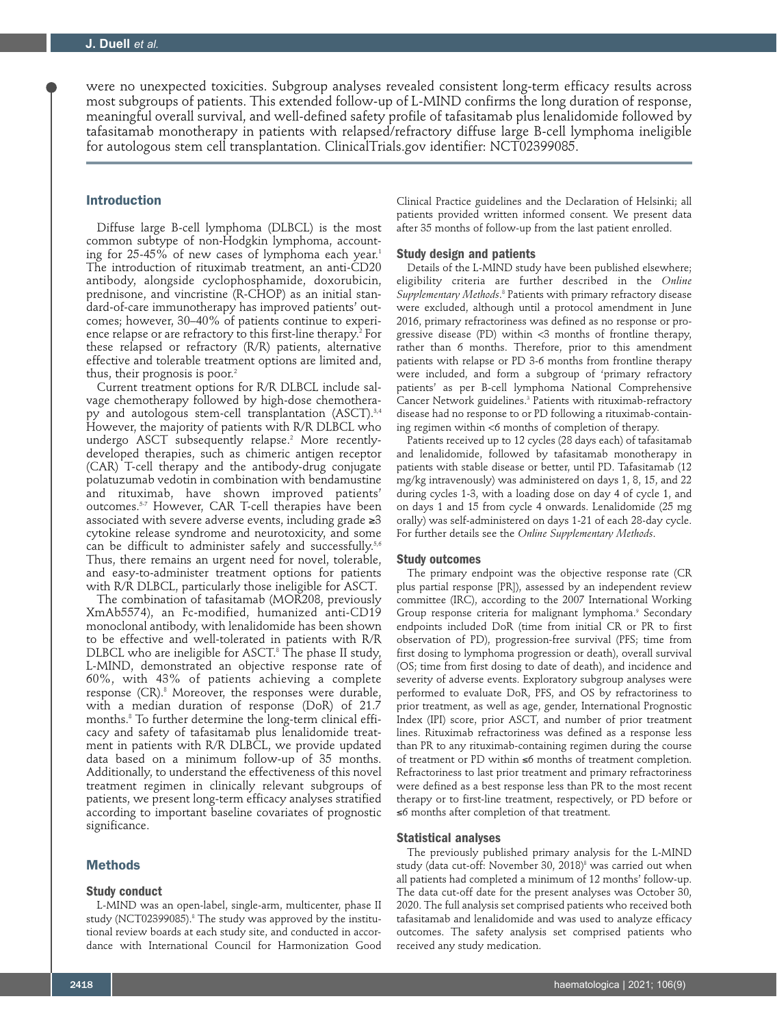were no unexpected toxicities. Subgroup analyses revealed consistent long-term efficacy results across most subgroups of patients. This extended follow-up of L-MIND confirms the long duration of response, meaningful overall survival, and well-defined safety profile of tafasitamab plus lenalidomide followed by tafasitamab monotherapy in patients with relapsed/refractory diffuse large B-cell lymphoma ineligible for autologous stem cell transplantation. ClinicalTrials.gov identifier: NCT02399085.

# Introduction

Diffuse large B-cell lymphoma (DLBCL) is the most common subtype of non-Hodgkin lymphoma, accounting for 25-45% of new cases of lymphoma each year. $^1$ The introduction of rituximab treatment, an anti-CD20 antibody, alongside cyclophosphamide, doxorubicin, prednisone, and vincristine (R-CHOP) as an initial standard-of-care immunotherapy has improved patients' outcomes; however, 30–40% of patients continue to experience relapse or are refractory to this first-line therapy.<sup>2</sup> For these relapsed or refractory (R/R) patients, alternative effective and tolerable treatment options are limited and, thus, their prognosis is poor.<sup>2</sup>

Current treatment options for R/R DLBCL include salvage chemotherapy followed by high-dose chemotherapy and autologous stem-cell transplantation (ASCT).<sup>3,4</sup> However, the majority of patients with R/R DLBCL who undergo ASCT subsequently relapse.2 More recentlydeveloped therapies, such as chimeric antigen receptor (CAR) T-cell therapy and the antibody-drug conjugate polatuzumab vedotin in combination with bendamustine and rituximab, have shown improved patients' outcomes.5-7 However, CAR T-cell therapies have been associated with severe adverse events, including grade  $\geq 3$ cytokine release syndrome and neurotoxicity, and some can be difficult to administer safely and successfully.5,6 Thus, there remains an urgent need for novel, tolerable, and easy-to-administer treatment options for patients with R/R DLBCL, particularly those ineligible for ASCT.

The combination of tafasitamab (MOR208, previously XmAb5574), an Fc-modified, humanized anti-CD19 monoclonal antibody, with lenalidomide has been shown to be effective and well-tolerated in patients with R/R DLBCL who are ineligible for ASCT.8 The phase II study, L-MIND, demonstrated an objective response rate of 60%, with 43% of patients achieving a complete response (CR).8 Moreover, the responses were durable, with a median duration of response (DoR) of 21.7 months.8 To further determine the long-term clinical efficacy and safety of tafasitamab plus lenalidomide treatment in patients with R/R DLBCL, we provide updated data based on a minimum follow-up of 35 months. Additionally, to understand the effectiveness of this novel treatment regimen in clinically relevant subgroups of patients, we present long-term efficacy analyses stratified according to important baseline covariates of prognostic significance.

## **Methods**

#### **Study conduct**

L-MIND was an open-label, single-arm, multicenter, phase II study (NCT02399085).8 The study was approved by the institutional review boards at each study site, and conducted in accordance with International Council for Harmonization Good

Clinical Practice guidelines and the Declaration of Helsinki; all patients provided written informed consent. We present data after 35 months of follow-up from the last patient enrolled.

## **Study design and patients**

Details of the L-MIND study have been published elsewhere; eligibility criteria are further described in the *Online Supplementary Methods*. 8 Patients with primary refractory disease were excluded, although until a protocol amendment in June 2016, primary refractoriness was defined as no response or progressive disease (PD) within <3 months of frontline therapy, rather than 6 months. Therefore, prior to this amendment patients with relapse or PD 3-6 months from frontline therapy were included, and form a subgroup of 'primary refractory patients' as per B-cell lymphoma National Comprehensive Cancer Network guidelines.<sup>3</sup> Patients with rituximab-refractory disease had no response to or PD following a rituximab-containing regimen within <6 months of completion of therapy.

Patients received up to 12 cycles (28 days each) of tafasitamab and lenalidomide, followed by tafasitamab monotherapy in patients with stable disease or better, until PD. Tafasitamab (12 mg/kg intravenously) was administered on days 1, 8, 15, and 22 during cycles 1-3, with a loading dose on day 4 of cycle 1, and on days 1 and 15 from cycle 4 onwards. Lenalidomide (25 mg orally) was self-administered on days 1-21 of each 28-day cycle. For further details see the *Online Supplementary Methods*.

## **Study outcomes**

The primary endpoint was the objective response rate (CR plus partial response [PR]), assessed by an independent review committee (IRC), according to the 2007 International Working Group response criteria for malignant lymphoma.<sup>9</sup> Secondary endpoints included DoR (time from initial CR or PR to first observation of PD), progression-free survival (PFS; time from first dosing to lymphoma progression or death), overall survival (OS; time from first dosing to date of death), and incidence and severity of adverse events. Exploratory subgroup analyses were performed to evaluate DoR, PFS, and OS by refractoriness to prior treatment, as well as age, gender, International Prognostic Index (IPI) score, prior ASCT, and number of prior treatment lines. Rituximab refractoriness was defined as a response less than PR to any rituximab-containing regimen during the course of treatment or PD within ≤6 months of treatment completion. Refractoriness to last prior treatment and primary refractoriness were defined as a best response less than PR to the most recent therapy or to first-line treatment, respectively, or PD before or ≤6 months after completion of that treatment.

## **Statistical analyses**

The previously published primary analysis for the L-MIND study (data cut-off: November 30, 2018) $^{\circ}$  was carried out when all patients had completed a minimum of 12 months' follow-up. The data cut-off date for the present analyses was October 30, 2020. The full analysis set comprised patients who received both tafasitamab and lenalidomide and was used to analyze efficacy outcomes. The safety analysis set comprised patients who received any study medication.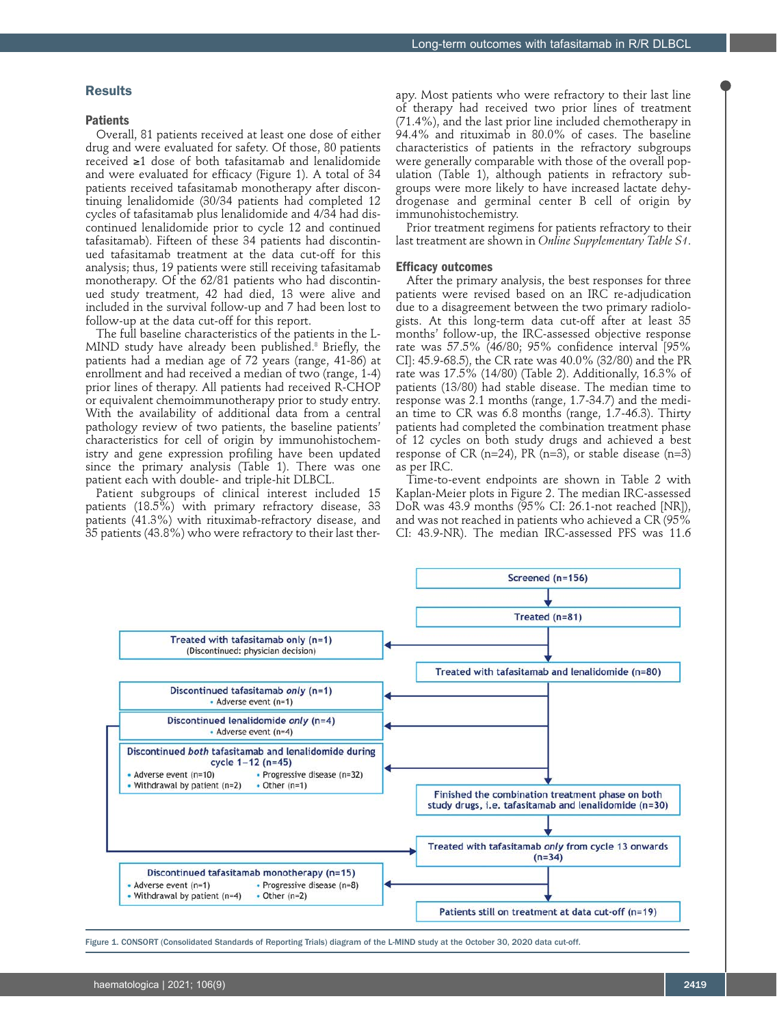# Results

## **Patients**

Overall, 81 patients received at least one dose of either drug and were evaluated for safety. Of those, 80 patients received ≥1 dose of both tafasitamab and lenalidomide and were evaluated for efficacy (Figure 1). A total of 34 patients received tafasitamab monotherapy after discontinuing lenalidomide (30/34 patients had completed 12 cycles of tafasitamab plus lenalidomide and 4/34 had discontinued lenalidomide prior to cycle 12 and continued tafasitamab). Fifteen of these 34 patients had discontinued tafasitamab treatment at the data cut-off for this analysis; thus, 19 patients were still receiving tafasitamab monotherapy. Of the 62/81 patients who had discontinued study treatment, 42 had died, 13 were alive and included in the survival follow-up and 7 had been lost to follow-up at the data cut-off for this report.

The full baseline characteristics of the patients in the L-MIND study have already been published.<sup>8</sup> Briefly, the patients had a median age of 72 years (range, 41-86) at enrollment and had received a median of two (range, 1-4) prior lines of therapy. All patients had received R-CHOP or equivalent chemoimmunotherapy prior to study entry. With the availability of additional data from a central pathology review of two patients, the baseline patients' characteristics for cell of origin by immunohistochemistry and gene expression profiling have been updated since the primary analysis (Table 1). There was one patient each with double- and triple-hit DLBCL.

Patient subgroups of clinical interest included 15 patients (18.5%) with primary refractory disease, 33 patients (41.3%) with rituximab-refractory disease, and 35 patients (43.8%) who were refractory to their last therapy. Most patients who were refractory to their last line of therapy had received two prior lines of treatment (71.4%), and the last prior line included chemotherapy in 94.4% and rituximab in 80.0% of cases. The baseline characteristics of patients in the refractory subgroups were generally comparable with those of the overall population (Table 1), although patients in refractory subgroups were more likely to have increased lactate dehydrogenase and germinal center B cell of origin by immunohistochemistry.

Prior treatment regimens for patients refractory to their last treatment are shown in *Online Supplementary Table S1*.

## **Efficacy outcomes**

After the primary analysis, the best responses for three patients were revised based on an IRC re-adjudication due to a disagreement between the two primary radiologists. At this long-term data cut-off after at least 35 months' follow-up, the IRC-assessed objective response rate was 57.5% (46/80; 95% confidence interval [95% CI]: 45.9-68.5), the CR rate was 40.0% (32/80) and the PR rate was 17.5% (14/80) (Table 2). Additionally, 16.3% of patients (13/80) had stable disease. The median time to response was 2.1 months (range, 1.7-34.7) and the median time to CR was 6.8 months (range, 1.7-46.3). Thirty patients had completed the combination treatment phase of 12 cycles on both study drugs and achieved a best response of CR (n=24), PR (n=3), or stable disease (n=3) as per IRC.

Time-to-event endpoints are shown in Table 2 with Kaplan-Meier plots in Figure 2. The median IRC-assessed DoR was 43.9 months (95% CI: 26.1-not reached [NR]), and was not reached in patients who achieved a CR (95% CI: 43.9-NR). The median IRC-assessed PFS was 11.6



Figure 1. CONSORT (Consolidated Standards of Reporting Trials) diagram of the L-MIND study at the October 30, 2020 data cut-off.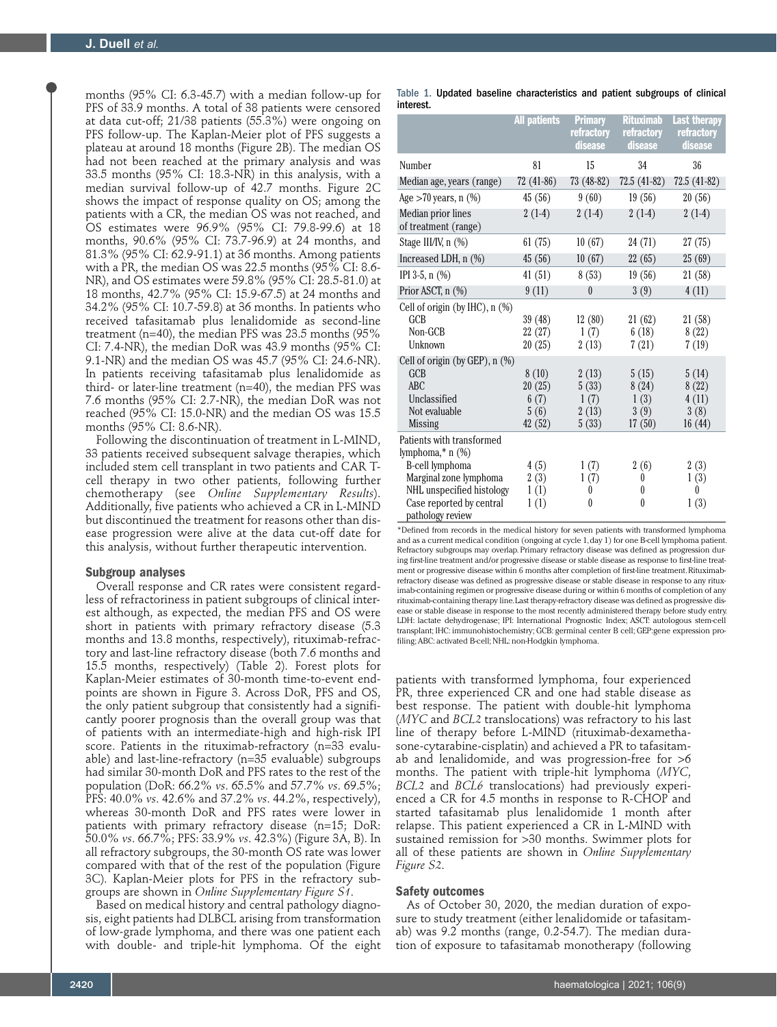months (95% CI: 6.3-45.7) with a median follow-up for PFS of 33.9 months. A total of 38 patients were censored at data cut-off; 21/38 patients (55.3%) were ongoing on PFS follow-up. The Kaplan-Meier plot of PFS suggests a plateau at around 18 months (Figure 2B). The median OS had not been reached at the primary analysis and was 33.5 months (95% CI: 18.3-NR) in this analysis, with a median survival follow-up of 42.7 months. Figure 2C shows the impact of response quality on OS; among the patients with a CR, the median OS was not reached, and OS estimates were 96.9% (95% CI: 79.8-99.6) at 18 months, 90.6% (95% CI: 73.7-96.9) at 24 months, and 81.3% (95% CI: 62.9-91.1) at 36 months. Among patients with a PR, the median OS was 22.5 months (95% CI: 8.6- NR), and OS estimates were 59.8% (95% CI: 28.5-81.0) at 18 months, 42.7% (95% CI: 15.9-67.5) at 24 months and 34.2% (95% CI: 10.7-59.8) at 36 months. In patients who received tafasitamab plus lenalidomide as second-line treatment (n=40), the median PFS was 23.5 months (95% CI: 7.4-NR), the median DoR was 43.9 months (95% CI: 9.1-NR) and the median OS was 45.7 (95% CI: 24.6-NR). In patients receiving tafasitamab plus lenalidomide as third- or later-line treatment (n=40), the median PFS was 7.6 months (95% CI: 2.7-NR), the median DoR was not reached (95% CI: 15.0-NR) and the median OS was 15.5 months (95% CI: 8.6-NR).

Following the discontinuation of treatment in L-MIND, 33 patients received subsequent salvage therapies, which included stem cell transplant in two patients and CAR Tcell therapy in two other patients, following further chemotherapy (see *Online Supplementary Results*). Additionally, five patients who achieved a CR in L-MIND but discontinued the treatment for reasons other than disease progression were alive at the data cut-off date for this analysis, without further therapeutic intervention.

## **Subgroup analyses**

Overall response and CR rates were consistent regardless of refractoriness in patient subgroups of clinical interest although, as expected, the median PFS and OS were short in patients with primary refractory disease (5.3 months and 13.8 months, respectively), rituximab-refractory and last-line refractory disease (both 7.6 months and 15.5 months, respectively) (Table 2). Forest plots for Kaplan-Meier estimates of 30-month time-to-event endpoints are shown in Figure 3. Across DoR, PFS and OS, the only patient subgroup that consistently had a significantly poorer prognosis than the overall group was that of patients with an intermediate-high and high-risk IPI score. Patients in the rituximab-refractory (n=33 evaluable) and last-line-refractory (n=35 evaluable) subgroups had similar 30-month DoR and PFS rates to the rest of the population (DoR: 66.2% *vs*. 65.5% and 57.7% *vs*. 69.5%; PFS: 40.0% *vs*. 42.6% and 37.2% *vs*. 44.2%, respectively), whereas 30-month DoR and PFS rates were lower in patients with primary refractory disease (n=15; DoR: 50.0% *vs*. 66.7%; PFS: 33.9% *vs*. 42.3%) (Figure 3A, B). In all refractory subgroups, the 30-month OS rate was lower compared with that of the rest of the population (Figure 3C). Kaplan-Meier plots for PFS in the refractory subgroups are shown in *Online Supplementary Figure S1*.

Based on medical history and central pathology diagnosis, eight patients had DLBCL arising from transformation of low-grade lymphoma, and there was one patient each with double- and triple-hit lymphoma. Of the eight

|           |  | Table 1. Updated baseline characteristics and patient subgroups of clinical |  |  |  |
|-----------|--|-----------------------------------------------------------------------------|--|--|--|
| interest. |  |                                                                             |  |  |  |

|                                                                   | <b>All patients</b>         | <b>Primary</b><br>refractory<br>disease | <b>Rituximab</b><br>refractory<br>disease | <b>Last therapy</b><br>refractory<br>disease |
|-------------------------------------------------------------------|-----------------------------|-----------------------------------------|-------------------------------------------|----------------------------------------------|
| Number                                                            | 81                          | 15                                      | 34                                        | 36                                           |
| Median age, years (range)                                         | $72(41-86)$                 | 73 (48-82)                              | $72.5(41-82)$                             | $72.5(41-82)$                                |
| Age $>70$ years, n $(\%)$                                         | 45(56)                      | 9(60)                                   | 19(56)                                    | 20(56)                                       |
| Median prior lines<br>of treatment (range)                        | $2(1-4)$                    | $2(1-4)$                                | $2(1-4)$                                  | $2(1-4)$                                     |
| Stage III/IV, n (%)                                               | 61(75)                      | 10(67)                                  | 24 (71)                                   | 27(75)                                       |
| Increased LDH, n (%)                                              | 45(56)                      | 10(67)                                  | 22(65)                                    | 25(69)                                       |
| IPI 3-5, $n$ $(\%)$                                               | 41(51)                      | 8(53)                                   | 19(56)                                    | 21(58)                                       |
| Prior ASCT, n (%)                                                 | 9(11)                       | $\theta$                                | 3(9)                                      | 4(11)                                        |
| Cell of origin (by $H(C)$ , n $(\%)$<br>GCB<br>Non-GCB<br>Unknown | 39(48)<br>22 (27)<br>20(25) | 12(80)<br>1(7)<br>2(13)                 | 21(62)<br>6(18)<br>7(21)                  | 21(58)<br>8(22)<br>7(19)                     |
| Cell of origin (by GEP), n (%)                                    |                             |                                         |                                           |                                              |
| GCB<br>ABC                                                        | 8(10)<br>20(25)             | 2(13)<br>5(33)                          | 5(15)<br>8(24)                            | 5(14)<br>8(22)                               |
| Unclassified                                                      | 6(7)                        | 1(7)                                    | 1(3)                                      | 4(11)                                        |
| Not evaluable<br><b>Missing</b>                                   | 5(6)<br>42 (52)             | 2(13)<br>5(33)                          | 3(9)<br>17(50)                            | 3(8)<br>16(44)                               |
| Patients with transformed<br>lymphoma, $*$ n $(\%)$               |                             |                                         |                                           |                                              |
| B-cell lymphoma                                                   | 4(5)                        | 1(7)                                    | 2(6)                                      | 2(3)                                         |
| Marginal zone lymphoma                                            | 2(3)                        | 1(7)                                    | 0                                         | 1(3)                                         |
| NHL unspecified histology                                         | 1(1)                        | 0                                       | $\left( \right)$                          | $\theta$                                     |
| Case reported by central<br>pathology review                      | 1(1)                        | $\theta$                                | $\theta$                                  | 1(3)                                         |

\*Defined from records in the medical history for seven patients with transformed lymphoma and as a current medical condition (ongoing at cycle 1, day 1) for one B-cell lymphoma patient. Refractory subgroups may overlap. Primary refractory disease was defined as progression during first-line treatment and/or progressive disease or stable disease as response to first-line treatment or progressive disease within 6 months after completion of first-line treatment. Rituximabrefractory disease was defined as progressive disease or stable disease in response to any rituximab-containing regimen or progressive disease during or within 6 months of completion of any rituximab-containing therapy line. Last therapy-refractory disease was defined as progressive disease or stable disease in response to the most recently administered therapy before study entry. LDH: lactate dehydrogenase; IPI: International Prognostic Index; ASCT: autologous stem-cell transplant; IHC: immunohistochemistry; GCB: germinal center B cell; GEP:gene expression profiling; ABC: activated B-cell; NHL: non-Hodgkin lymphoma.

patients with transformed lymphoma, four experienced PR, three experienced CR and one had stable disease as best response. The patient with double-hit lymphoma (*MYC* and *BCL2* translocations) was refractory to his last line of therapy before L-MIND (rituximab-dexamethasone-cytarabine-cisplatin) and achieved a PR to tafasitamab and lenalidomide, and was progression-free for >6 months. The patient with triple-hit lymphoma (*MYC*, *BCL2* and *BCL6* translocations) had previously experienced a CR for 4.5 months in response to R-CHOP and started tafasitamab plus lenalidomide 1 month after relapse. This patient experienced a CR in L-MIND with sustained remission for >30 months. Swimmer plots for all of these patients are shown in *Online Supplementary Figure S2*.

#### **Safety outcomes**

As of October 30, 2020, the median duration of exposure to study treatment (either lenalidomide or tafasitamab) was 9.2 months (range, 0.2-54.7). The median duration of exposure to tafasitamab monotherapy (following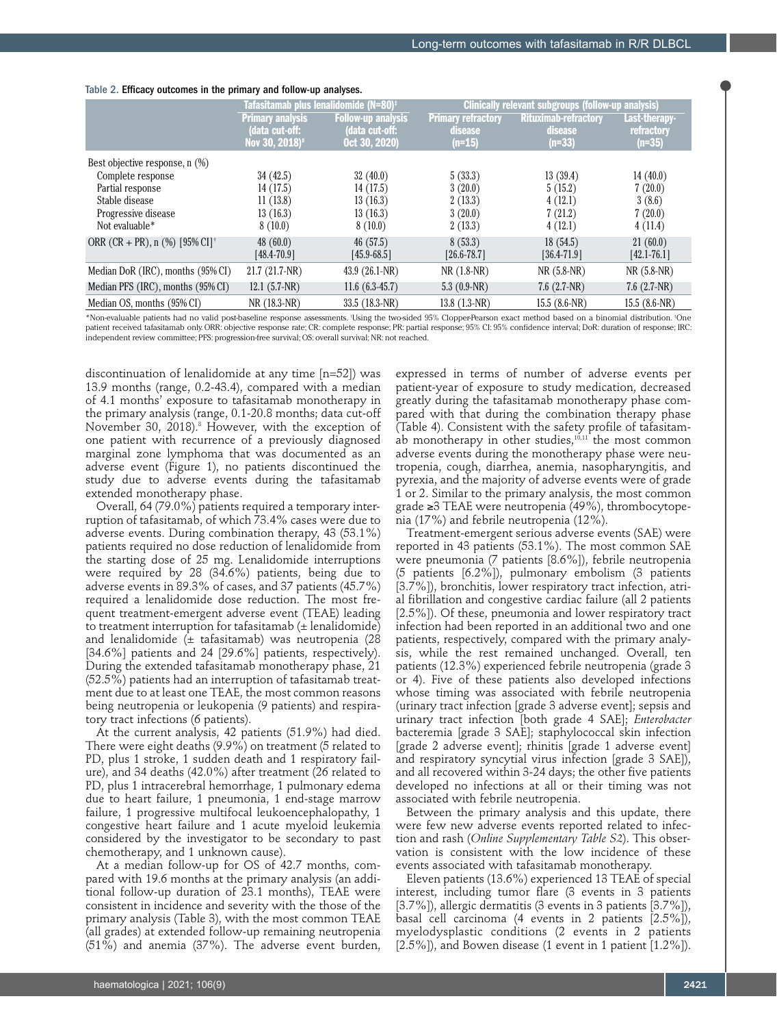|  |                 | Tafasitamab plus lenalidomide (N=80) <sup>‡</sup> |                     | Clinically relevant subgroups (follow-up analysis) |                  |
|--|-----------------|---------------------------------------------------|---------------------|----------------------------------------------------|------------------|
|  | rimarv analvsis | ıllow-un analysis                                 | 'Primary refractory | Rituximab-refractory                               | <b>Last-ther</b> |

Table 2. Efficacy outcomes in the primary and follow-up analyses.

| ranasitamab pius ionanuvimuo (N-OV) |                         | Uninually Turkant Subgroups (funder up analysis) |                           |                                        |  |
|-------------------------------------|-------------------------|--------------------------------------------------|---------------------------|----------------------------------------|--|
|                                     |                         |                                                  |                           | Last-therapy-                          |  |
| (data cut-off:                      | (data cut-off:          | disease                                          |                           | refractory                             |  |
| Nov 30, 2018) <sup>8</sup>          | Oct 30, 2020)           | $(n=15)$                                         | $(n=33)$                  | $(n=35)$                               |  |
|                                     |                         |                                                  |                           |                                        |  |
| 34(42.5)                            | 32(40.0)                | 5(33.3)                                          | 13(39.4)                  | 14(40.0)                               |  |
| 14(17.5)                            | 14(17.5)                | 3(20.0)                                          | 5(15.2)                   | 7(20.0)                                |  |
| 11(13.8)                            | 13(16.3)                | 2(13.3)                                          | 4(12.1)                   | 3(8.6)                                 |  |
| 13(16.3)                            | 13(16.3)                | 3(20.0)                                          | 7(21.2)                   | 7(20.0)                                |  |
| 8(10.0)                             | 8(10.0)                 | 2(13.3)                                          | 4(12.1)                   | 4(11.4)                                |  |
| 48(60.0)                            | 46(57.5)                | 8(53.3)                                          | 18(54.5)                  | 21(60.0)                               |  |
| $[48.4 - 70.9]$                     | $[45.9 - 68.5]$         | $[26.6 - 78.7]$                                  | $[36.4 - 71.9]$           | $[42.1 - 76.1]$                        |  |
| $21.7(21.7-NR)$                     | $43.9(26.1-NR)$         | $NR(1.8-NR)$                                     | $NR(5.8-NR)$              | $NR(5.8-NR)$                           |  |
| $12.1$ (5.7-NR)                     | $11.6(6.3-45.7)$        | 5.3 $(0.9-NR)$                                   | $7.6$ $(2.7-NR)$          | $7.6$ $(2.7-NR)$                       |  |
| NR (18.3-NR)                        | 33.5 (18.3-NR)          | $13.8$ $(1.3-NR)$                                | $15.5(8.6-NR)$            | $15.5(8.6-NR)$                         |  |
|                                     | <b>Primary analysis</b> | <b>Follow-up analysis</b>                        | <b>Primary refractory</b> | <b>Rituximab-refractory</b><br>disease |  |

\*Non-evaluable patients had no valid post-baseline response assessments. † Using the two-sided 95% Clopper-Pearson exact method based on a binomial distribution. ‡ One patient received tafasitamab only. ORR: objective response rate; CR: complete response; PR: partial response; 95% CI: 95% confidence interval; DoR: duration of response; IRC: independent review committee; PFS: progression-free survival; OS: overall survival; NR: not reached.

discontinuation of lenalidomide at any time [n=52]) was 13.9 months (range, 0.2-43.4), compared with a median of 4.1 months' exposure to tafasitamab monotherapy in the primary analysis (range, 0.1-20.8 months; data cut-off November 30, 2018).<sup>8</sup> However, with the exception of one patient with recurrence of a previously diagnosed marginal zone lymphoma that was documented as an adverse event (Figure 1), no patients discontinued the study due to adverse events during the tafasitamab extended monotherapy phase.

Overall, 64 (79.0%) patients required a temporary interruption of tafasitamab, of which 73.4% cases were due to adverse events. During combination therapy, 43 (53.1%) patients required no dose reduction of lenalidomide from the starting dose of 25 mg. Lenalidomide interruptions were required by 28 (34.6%) patients, being due to adverse events in 89.3% of cases, and 37 patients (45.7%) required a lenalidomide dose reduction. The most frequent treatment-emergent adverse event (TEAE) leading to treatment interruption for tafasitamab  $(\pm$  lenalidomide) and lenalidomide  $(±$  tafasitamab) was neutropenia  $(28)$ [34.6%] patients and 24 [29.6%] patients, respectively). During the extended tafasitamab monotherapy phase, 21 (52.5%) patients had an interruption of tafasitamab treatment due to at least one TEAE, the most common reasons being neutropenia or leukopenia (9 patients) and respiratory tract infections (6 patients).

At the current analysis, 42 patients (51.9%) had died. There were eight deaths (9.9%) on treatment (5 related to PD, plus 1 stroke, 1 sudden death and 1 respiratory failure), and 34 deaths (42.0%) after treatment (26 related to PD, plus 1 intracerebral hemorrhage, 1 pulmonary edema due to heart failure, 1 pneumonia, 1 end-stage marrow failure, 1 progressive multifocal leukoencephalopathy, 1 congestive heart failure and 1 acute myeloid leukemia considered by the investigator to be secondary to past chemotherapy, and 1 unknown cause).

At a median follow-up for OS of 42.7 months, compared with 19.6 months at the primary analysis (an additional follow-up duration of 23.1 months), TEAE were consistent in incidence and severity with the those of the primary analysis (Table 3), with the most common TEAE (all grades) at extended follow-up remaining neutropenia (51%) and anemia (37%). The adverse event burden,

expressed in terms of number of adverse events per patient-year of exposure to study medication, decreased greatly during the tafasitamab monotherapy phase compared with that during the combination therapy phase (Table 4). Consistent with the safety profile of tafasitamab monotherapy in other studies, $10,11$  the most common adverse events during the monotherapy phase were neutropenia, cough, diarrhea, anemia, nasopharyngitis, and pyrexia, and the majority of adverse events were of grade 1 or 2. Similar to the primary analysis, the most common grade ≥3 TEAE were neutropenia (49%), thrombocytopenia (17%) and febrile neutropenia (12%).

Treatment-emergent serious adverse events (SAE) were reported in 43 patients (53.1%). The most common SAE were pneumonia (7 patients [8.6%]), febrile neutropenia (5 patients [6.2%]), pulmonary embolism (3 patients [3.7%]), bronchitis, lower respiratory tract infection, atrial fibrillation and congestive cardiac failure (all 2 patients [2.5%]). Of these, pneumonia and lower respiratory tract infection had been reported in an additional two and one patients, respectively, compared with the primary analysis, while the rest remained unchanged. Overall, ten patients (12.3%) experienced febrile neutropenia (grade 3 or 4). Five of these patients also developed infections whose timing was associated with febrile neutropenia (urinary tract infection [grade 3 adverse event]; sepsis and urinary tract infection [both grade 4 SAE]; *Enterobacter* bacteremia [grade 3 SAE]; staphylococcal skin infection [grade 2 adverse event]; rhinitis [grade 1 adverse event] and respiratory syncytial virus infection [grade 3 SAE]), and all recovered within 3-24 days; the other five patients developed no infections at all or their timing was not associated with febrile neutropenia.

Between the primary analysis and this update, there were few new adverse events reported related to infection and rash (*Online Supplementary Table S2*). This observation is consistent with the low incidence of these events associated with tafasitamab monotherapy.

Eleven patients (13.6%) experienced 13 TEAE of special interest, including tumor flare (3 events in 3 patients [3.7%]), allergic dermatitis (3 events in 3 patients [3.7%]), basal cell carcinoma (4 events in 2 patients [2.5%]), myelodysplastic conditions (2 events in 2 patients  $[2.5\%]$ , and Bowen disease (1 event in 1 patient  $[1.2\%]$ ).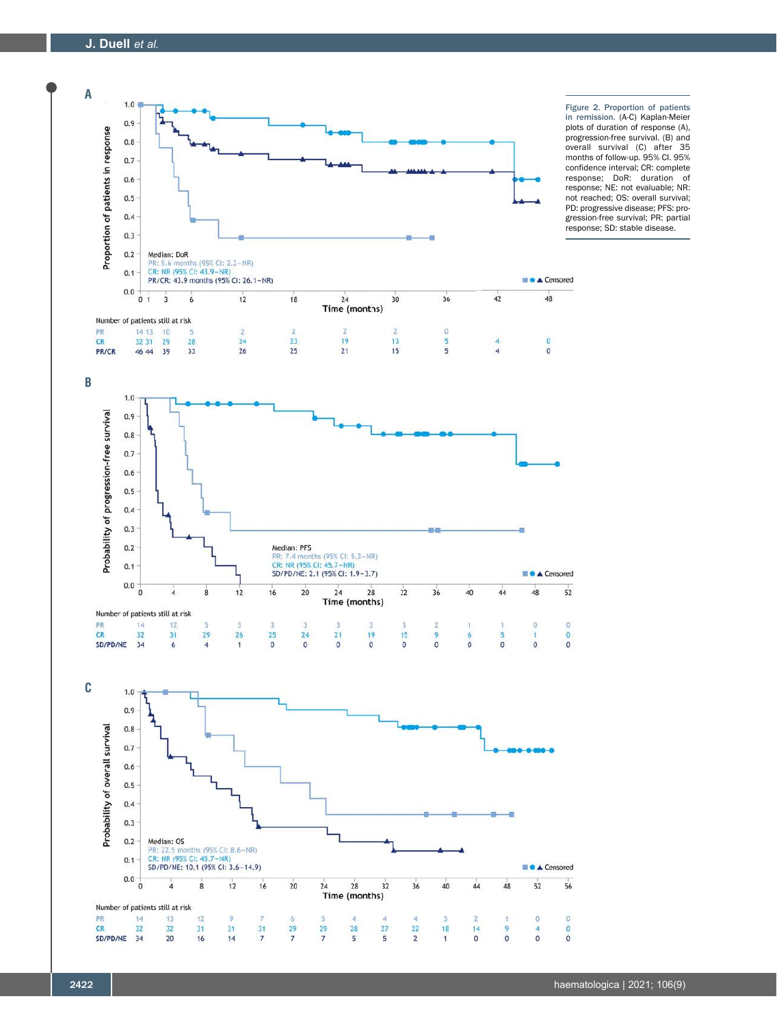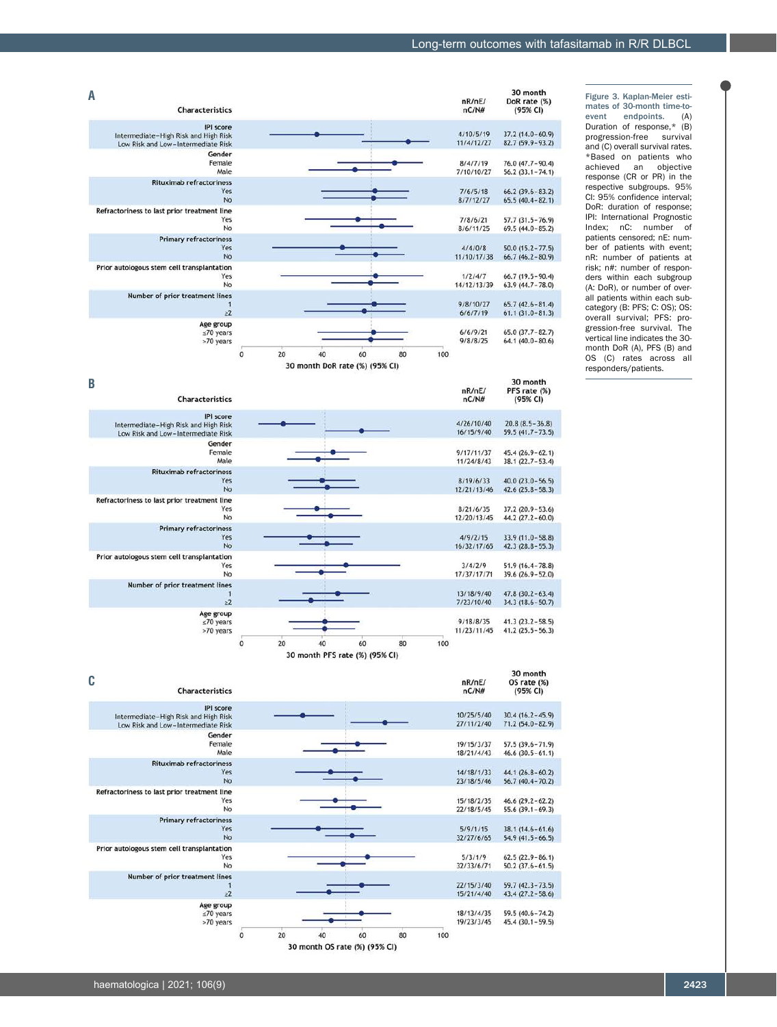Figure 3. Kaplan-Meier estimates of 30-month time-to-<br>event endpoints. (A) event endpoints. (A) Duration of response,\* (B) progression-free survival and (C) overall survival rates. \*Based on patients who achieved an objective response (CR or PR) in the respective subgroups. 95% CI: 95% confidence interval; DoR: duration of response; IPI: International Prognostic Index; nC: number of patients censored; nE: number of patients with event; nR: number of patients at risk; n#: number of responders within each subgroup (A: DoR), or number of overall patients within each subcategory (B: PFS; C: OS); OS: overall survival; PFS: progression-free survival. The vertical line indicates the 30 month DoR (A), PFS (B) and OS (C) rates across all responders/patients.



**B** 30 month PFS rate (%)<br>(95% CI) nR/nE/ Characteristics  $nC/N#$ **IPI** score Intermediate-High Risk and High Risk 4/26/10/40  $20.8(8.5 - 36.8)$  $59.5(41.7 - 73.5)$ 16/15/9/40 Low Risk and Low-Intermediate Risk Gender Female 9/17/11/37  $45.4(26.9 - 62.1)$ Male 11/24/8/43  $38.1(22.7 - 53.4)$ Rituximab refractoriness  $8/19/6/33$  $40.0(23.0 - 56.5)$ Yes No 12/21/13/46  $42.6(25.8-58.3)$ Refractoriness to last prior treatment line Yes  $8/21/6/35$ 37.2 (20.9-53.6)<br>44.2 (27.2-60.0) No 12/20/13/45 **Primary refractoriness** Yes  $4/9/2/15$  $33.9(11.0 - 58.8)$ **No** 16/32/17/65  $42.3(28.8-55.3)$ Prior autologous stem cell transplantation  $3/4/2/9$  $51.9(16.4 - 78.8)$ Yes No 17/37/17/71 39.6 (26.9-52.0) Number of prior treatment lines  $47.8(30.2 - 63.4)$ 13/18/9/40 7/23/10/40  $34.3(18.6 - 50.7)$  $\geq 2$ Age group  $\leq 70$  years  $9/18/8/35$  $41.3(23.2 - 58.5)$ 11/23/11/45  $41.2(25.5 - 56.3)$  $\circ$ 100  $\overline{20}$ 40 60 80 30 month PFS rate (%) (95% CI)

| C | Characteristics                                                                                |                |    |                                   |    |    |     | nR/nE/<br>nC/N#          | 30 month<br>OS rate (%)<br>(95% CI)        |
|---|------------------------------------------------------------------------------------------------|----------------|----|-----------------------------------|----|----|-----|--------------------------|--------------------------------------------|
|   | <b>IPI</b> score<br>Intermediate-High Risk and High Risk<br>Low Risk and Low-Intermediate Risk |                |    |                                   |    |    |     | 10/25/5/40<br>27/11/2/40 | $30.4(16.2 - 45.9)$<br>$71.2(54.0 - 82.9)$ |
|   | Gender<br>Female<br>Male                                                                       |                |    |                                   |    |    |     | 19/15/3/37<br>18/21/4/43 | $57.5(39.6 - 71.9)$<br>$46.6(30.5-61.1)$   |
|   | <b>Rituximab refractoriness</b><br>Yes<br><b>No</b>                                            |                |    |                                   |    |    |     | 14/18/1/33<br>23/18/5/46 | $44.1(26.8-60.2)$<br>$56.7(40.4 - 70.2)$   |
|   | Refractoriness to last prior treatment line<br>Yes<br><b>No</b>                                |                |    |                                   |    |    |     | 15/18/2/35<br>22/18/5/45 | $46.6(29.2-62.2)$<br>$55.6(39.1-69.3)$     |
|   | <b>Primary refractoriness</b><br>Yes<br><b>No</b>                                              |                |    |                                   |    |    |     | 5/9/1/15<br>32/27/6/65   | $38.1(14.6 - 61.6)$<br>$54.9(41.5 - 66.5)$ |
|   | Prior autologous stem cell transplantation<br>Yes<br>No                                        |                |    |                                   |    |    |     | 5/3/1/9<br>32/33/6/71    | $62.5(22.9 - 86.1)$<br>$50.2(37.6 - 61.5)$ |
|   | Number of prior treatment lines<br>$\geq 2$                                                    |                |    |                                   |    |    |     | 22/15/3/40<br>15/21/4/40 | $59.7(42.3 - 73.5)$<br>$43.4(27.2 - 58.6)$ |
|   | Age group<br>$≤70$ years<br>>70 years                                                          |                |    |                                   |    |    |     | 18/13/4/35<br>19/23/3/45 | 59.5 (40.6-74.2)<br>$45.4(30.1 - 59.5)$    |
|   |                                                                                                | $\overline{0}$ | 20 | $30$ month OS rate $(9)$ (95% CI) | 60 | 80 | 100 |                          |                                            |
|   |                                                                                                |                |    |                                   |    |    |     |                          |                                            |

30 month OS rate (%) (95% CI)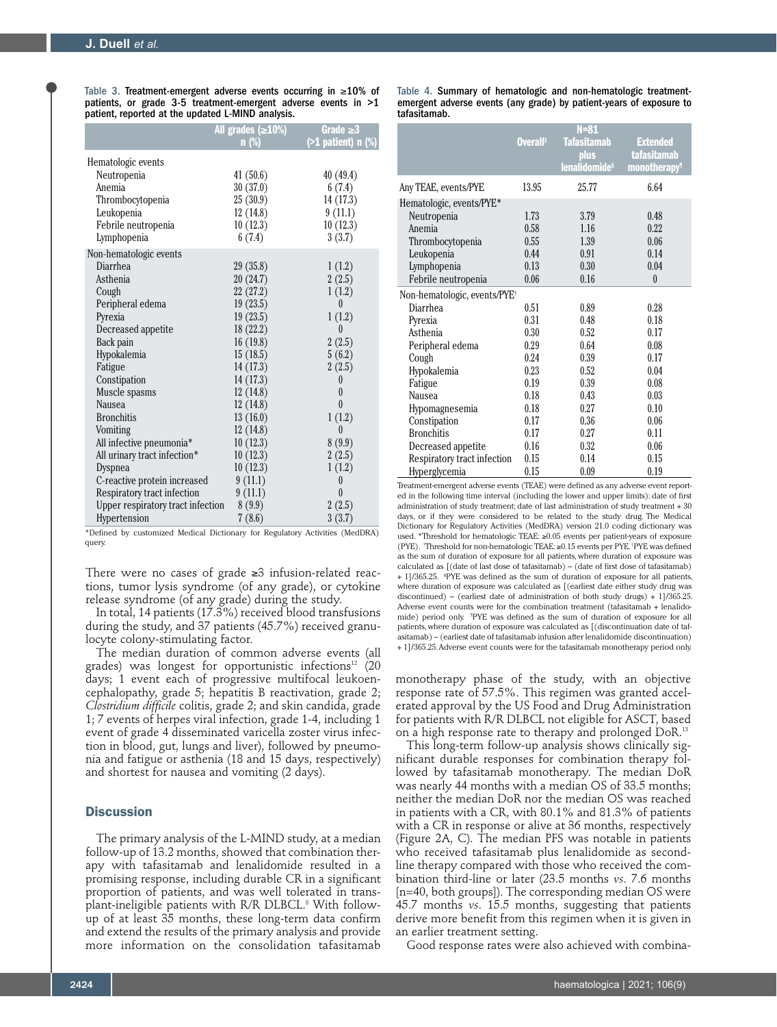Table 3. Treatment-emergent adverse events occurring in ≥10% of patients, or grade 3-5 treatment-emergent adverse events in >1 patient, reported at the updated L-MIND analysis.

|                                   | All grades $(\geq 10\%)$<br>n(%) | Grade $\geq$ 3<br>$($ >1 patient) n $(\%)$ |
|-----------------------------------|----------------------------------|--------------------------------------------|
| Hematologic events                |                                  |                                            |
| Neutropenia                       | 41(50.6)                         | 40(49.4)                                   |
| Anemia                            | 30(37.0)                         | 6(7.4)                                     |
| Thrombocytopenia                  | 25(30.9)                         | 14 (17.3)                                  |
| Leukopenia                        | 12(14.8)                         | 9(11.1)                                    |
| Febrile neutropenia               | 10(12.3)                         | 10(12.3)                                   |
| Lymphopenia                       | 6(7.4)                           | 3(3.7)                                     |
| Non-hematologic events            |                                  |                                            |
| Diarrhea                          | 29(35.8)                         | 1(1.2)                                     |
| Asthenia                          | 20(24.7)                         | 2(2.5)                                     |
| Cough                             | 22 (27.2)                        | 1(1.2)                                     |
| Peripheral edema                  | 19(23.5)                         | $\theta$                                   |
| Pyrexia                           | 19(23.5)                         | 1(1.2)                                     |
| Decreased appetite                | 18(22.2)                         | $\theta$                                   |
| Back pain                         | 16(19.8)                         | 2(2.5)                                     |
| Hypokalemia                       | 15(18.5)                         | 5(6.2)                                     |
| Fatigue                           | 14 (17.3)                        | 2(2.5)                                     |
| Constipation                      | 14 (17.3)                        | $\theta$                                   |
| Muscle spasms                     | 12(14.8)                         | $\theta$                                   |
| Nausea                            | 12(14.8)                         | $\theta$                                   |
| <b>Bronchitis</b>                 | 13(16.0)                         | 1(1.2)                                     |
| Vomiting                          | 12(14.8)                         | 0                                          |
| All infective pneumonia*          | 10(12.3)                         | 8(9.9)                                     |
| All urinary tract infection*      | 10(12.3)                         | 2(2.5)                                     |
| Dyspnea                           | 10(12.3)                         | 1(1.2)                                     |
| C-reactive protein increased      | 9(11.1)                          | $\theta$                                   |
| Respiratory tract infection       | 9(11.1)                          | $\theta$                                   |
| Upper respiratory tract infection | 8(9.9)                           | 2(2.5)                                     |
| Hypertension                      | 7(8.6)                           | 3(3.7)                                     |

\*Defined by customized Medical Dictionary for Regulatory Activities (MedDRA) query.

There were no cases of grade ≥3 infusion-related reactions, tumor lysis syndrome (of any grade), or cytokine release syndrome (of any grade) during the study.

In total, 14 patients (17.3%) received blood transfusions during the study, and 37 patients (45.7%) received granulocyte colony-stimulating factor.

The median duration of common adverse events (all grades) was longest for opportunistic infections<sup>12</sup> (20 days; 1 event each of progressive multifocal leukoencephalopathy, grade 5; hepatitis B reactivation, grade 2; *Clostridium difficile* colitis, grade 2; and skin candida, grade 1; 7 events of herpes viral infection, grade 1-4, including 1 event of grade 4 disseminated varicella zoster virus infection in blood, gut, lungs and liver), followed by pneumonia and fatigue or asthenia (18 and 15 days, respectively) and shortest for nausea and vomiting (2 days).

# **Discussion**

The primary analysis of the L-MIND study, at a median follow-up of 13.2 months, showed that combination therapy with tafasitamab and lenalidomide resulted in a promising response, including durable CR in a significant proportion of patients, and was well tolerated in transplant-ineligible patients with R/R DLBCL.<sup>8</sup> With followup of at least 35 months, these long-term data confirm and extend the results of the primary analysis and provide more information on the consolidation tafasitamab

Table 4. Summary of hematologic and non-hematologic treatmentemergent adverse events (any grade) by patient-years of exposure to tafasitamab.

|                                          | Overall <sup>#</sup> | $N = 81$<br><b>Tafasitamab</b><br>plus<br>lenalidomide <sup>§</sup> | <b>Extended</b><br><b>tafasitamab</b><br>monotherapy <sup>1</sup> |
|------------------------------------------|----------------------|---------------------------------------------------------------------|-------------------------------------------------------------------|
| Any TEAE, events/PYE                     | 13.95                | 25.77                                                               | 6.64                                                              |
| Hematologic, events/PYE*                 |                      |                                                                     |                                                                   |
| Neutropenia                              | 1.73                 | 3.79                                                                | 0.48                                                              |
| Anemia                                   | 0.58                 | 1.16                                                                | 0.22                                                              |
| Thrombocytopenia                         | 0.55                 | 1.39                                                                | 0.06                                                              |
| Leukopenia                               | 0.44                 | 0.91                                                                | 0.14                                                              |
| Lymphopenia                              | 0.13                 | 0.30                                                                | 0.04                                                              |
| Febrile neutropenia                      | 0.06                 | 0.16                                                                | $\theta$                                                          |
| Non-hematologic, events/PYE <sup>+</sup> |                      |                                                                     |                                                                   |
| Diarrhea                                 | 0.51                 | 0.89                                                                | 0.28                                                              |
| Pyrexia                                  | 0.31                 | 0.48                                                                | 0.18                                                              |
| Asthenia                                 | 0.30                 | 0.52                                                                | 0.17                                                              |
| Peripheral edema                         | 0.29                 | 0.64                                                                | 0.08                                                              |
| Cough                                    | 0.24                 | 0.39                                                                | 0.17                                                              |
| Hypokalemia                              | 0.23                 | 0.52                                                                | 0.04                                                              |
| Fatigue                                  | 0.19                 | 0.39                                                                | 0.08                                                              |
| Nausea                                   | 0.18                 | 0.43                                                                | 0.03                                                              |
| Hypomagnesemia                           | 0.18                 | 0.27                                                                | 0.10                                                              |
| Constipation                             | 0.17                 | 0.36                                                                | 0.06                                                              |
| <b>Bronchitis</b>                        | 0.17                 | 0.27                                                                | 0.11                                                              |
| Decreased appetite                       | 0.16                 | 0.32                                                                | 0.06                                                              |
| Respiratory tract infection              | 0.15                 | 0.14                                                                | 0.15                                                              |
| Hyperglycemia                            | 0.15                 | 0.09                                                                | 0.19                                                              |

Treatment-emergent adverse events (TEAE) were defined as any adverse event reported in the following time interval (including the lower and upper limits): date of first administration of study treatment; date of last administration of study treatment + 30 days, or if they were considered to be related to the study drug. The Medical Dictionary for Regulatory Activities (MedDRA) version 21.0 coding dictionary was used. \*Threshold for hematologic TEAE: ≥0.05 events per patient-years of exposure (PYE). † Threshold for non-hematologic TEAE: ≥0.15 events per PYE. ‡ PYE was defined as the sum of duration of exposure for all patients, where duration of exposure was calculated as [(date of last dose of tafasitamab) – (date of first dose of tafasitamab) + 1]/365.25. § PYE was defined as the sum of duration of exposure for all patients, where duration of exposure was calculated as [(earliest date either study drug was discontinued) – (earliest date of administration of both study drugs) + 1]/365.25. Adverse event counts were for the combination treatment (tafasitamab + lenalidomide) period only. ¶ PYE was defined as the sum of duration of exposure for all patients, where duration of exposure was calculated as [(discontinuation date of tafasitamab) – (earliest date of tafasitamab infusion after lenalidomide discontinuation) + 1]/365.25. Adverse event counts were for the tafasitamab monotherapy period only.

monotherapy phase of the study, with an objective response rate of 57.5%. This regimen was granted accelerated approval by the US Food and Drug Administration for patients with R/R DLBCL not eligible for ASCT, based on a high response rate to therapy and prolonged DoR.13

This long-term follow-up analysis shows clinically significant durable responses for combination therapy followed by tafasitamab monotherapy. The median DoR was nearly 44 months with a median OS of 33.5 months; neither the median DoR nor the median OS was reached in patients with a CR, with 80.1% and 81.3% of patients with a CR in response or alive at 36 months, respectively (Figure 2A, C). The median PFS was notable in patients who received tafasitamab plus lenalidomide as secondline therapy compared with those who received the combination third-line or later (23.5 months *vs*. 7.6 months [n=40, both groups]). The corresponding median OS were 45.7 months *vs*. 15.5 months, suggesting that patients derive more benefit from this regimen when it is given in an earlier treatment setting.

Good response rates were also achieved with combina-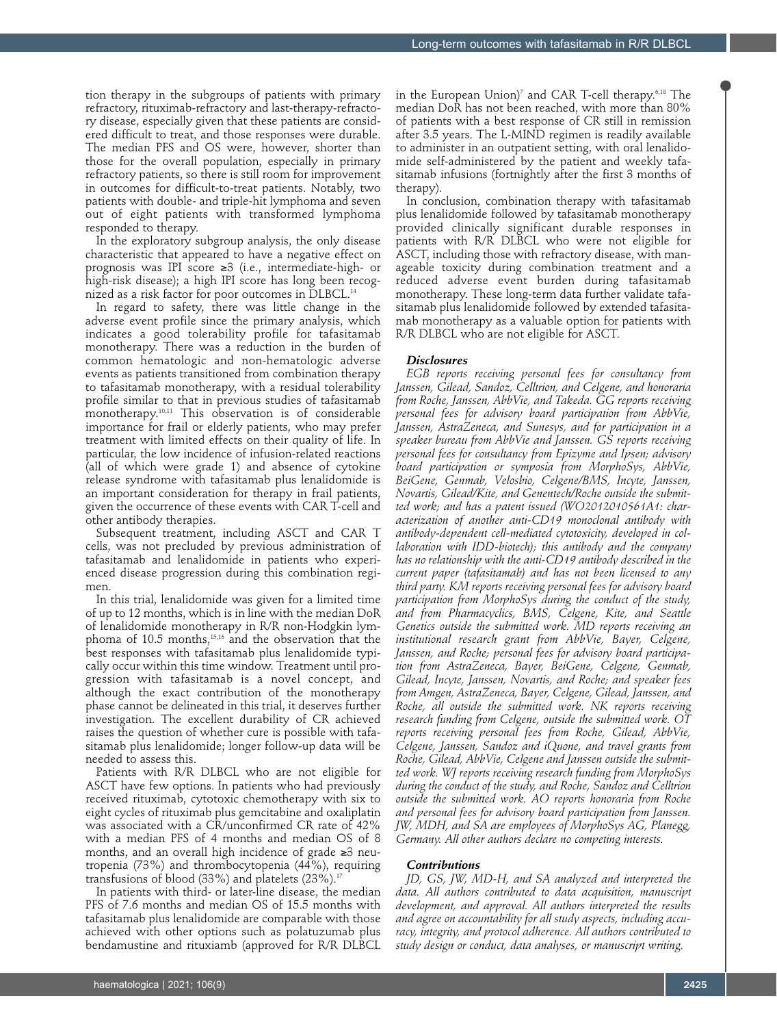tion therapy in the subgroups of patients with primary refractory, rituximab-refractory and last-therapy-refractory disease, especially given that these patients are considered difficult to treat, and those responses were durable. The median PFS and OS were, however, shorter than those for the overall population, especially in primary refractory patients, so there is still room for improvement in outcomes for difficult-to-treat patients. Notably, two patients with double- and triple-hit lymphoma and seven out of eight patients with transformed lymphoma responded to therapy.

In the exploratory subgroup analysis, the only disease characteristic that appeared to have a negative effect on prognosis was IPI score ≥3 (i.e., intermediate-high- or high-risk disease); a high IPI score has long been recognized as a risk factor for poor outcomes in DLBCL.<sup>14</sup>

In regard to safety, there was little change in the adverse event profile since the primary analysis, which indicates a good tolerability profile for tafasitamab monotherapy. There was a reduction in the burden of common hematologic and non-hematologic adverse events as patients transitioned from combination therapy to tafasitamab monotherapy, with a residual tolerability profile similar to that in previous studies of tafasitamab monotherapy.10,11 This observation is of considerable importance for frail or elderly patients, who may prefer treatment with limited effects on their quality of life. In particular, the low incidence of infusion-related reactions (all of which were grade 1) and absence of cytokine release syndrome with tafasitamab plus lenalidomide is an important consideration for therapy in frail patients, given the occurrence of these events with CAR T-cell and other antibody therapies.

Subsequent treatment, including ASCT and CAR T cells, was not precluded by previous administration of tafasitamab and lenalidomide in patients who experienced disease progression during this combination regimen.

In this trial, lenalidomide was given for a limited time of up to 12 months, which is in line with the median DoR of lenalidomide monotherapy in R/R non-Hodgkin lymphoma of 10.5 months,15,16 and the observation that the best responses with tafasitamab plus lenalidomide typically occur within this time window. Treatment until progression with tafasitamab is a novel concept, and although the exact contribution of the monotherapy phase cannot be delineated in this trial, it deserves further investigation. The excellent durability of CR achieved raises the question of whether cure is possible with tafasitamab plus lenalidomide; longer follow-up data will be needed to assess this.

Patients with R/R DLBCL who are not eligible for ASCT have few options. In patients who had previously received rituximab, cytotoxic chemotherapy with six to eight cycles of rituximab plus gemcitabine and oxaliplatin was associated with a CR/unconfirmed CR rate of 42% with a median PFS of 4 months and median OS of 8 months, and an overall high incidence of grade ≥3 neutropenia (73%) and thrombocytopenia (44%), requiring transfusions of blood (33%) and platelets  $(23\%)$ .<sup>17</sup>

In patients with third- or later-line disease, the median PFS of 7.6 months and median OS of 15.5 months with tafasitamab plus lenalidomide are comparable with those achieved with other options such as polatuzumab plus bendamustine and rituxiamb (approved for R/R DLBCL

in the European Union)7 and CAR T-cell therapy.6,18 The median DoR has not been reached, with more than 80% of patients with a best response of CR still in remission after 3.5 years. The L-MIND regimen is readily available to administer in an outpatient setting, with oral lenalidomide self-administered by the patient and weekly tafasitamab infusions (fortnightly after the first 3 months of therapy).

In conclusion, combination therapy with tafasitamab plus lenalidomide followed by tafasitamab monotherapy provided clinically significant durable responses in patients with R/R DLBCL who were not eligible for ASCT, including those with refractory disease, with manageable toxicity during combination treatment and a reduced adverse event burden during tafasitamab monotherapy. These long-term data further validate tafasitamab plus lenalidomide followed by extended tafasitamab monotherapy as a valuable option for patients with R/R DLBCL who are not eligible for ASCT.

## *Disclosures*

*EGB reports receiving personal fees for consultancy from Janssen, Gilead, Sandoz, Celltrion, and Celgene, and honoraria from Roche, Janssen, AbbVie, and Takeda. GG reports receiving personal fees for advisory board participation from AbbVie, Janssen, AstraZeneca, and Sunesys, and for participation in a speaker bureau from AbbVie and Janssen. GS reports receiving personal fees for consultancy from Epizyme and Ipsen; advisory board participation or symposia from MorphoSys, AbbVie, BeiGene, Genmab, Velosbio, Celgene/BMS, Incyte, Janssen, Novartis, Gilead/Kite, and Genentech/Roche outside the submitted work; and has a patent issued (WO2012010561A1: characterization of another anti-CD19 monoclonal antibody with antibody-dependent cell-mediated cytotoxicity, developed in collaboration with IDD-biotech); this antibody and the company has no relationship with the anti-CD19 antibody described in the current paper (tafasitamab) and has not been licensed to any third party. KM reports receiving personal fees for advisory board participation from MorphoSys during the conduct of the study, and from Pharmacyclics, BMS, Celgene, Kite, and Seattle Genetics outside the submitted work. MD reports receiving an institutional research grant from AbbVie, Bayer, Celgene, Janssen, and Roche; personal fees for advisory board participation from AstraZeneca, Bayer, BeiGene, Celgene, Genmab, Gilead, Incyte, Janssen, Novartis, and Roche; and speaker fees from Amgen, AstraZeneca, Bayer, Celgene, Gilead, Janssen, and Roche, all outside the submitted work. NK reports receiving research funding from Celgene, outside the submitted work. OT reports receiving personal fees from Roche, Gilead, AbbVie, Celgene, Janssen, Sandoz and iQuone, and travel grants from Roche, Gilead, AbbVie, Celgene and Janssen outside the submitted work. WJ reports receiving research funding from MorphoSys during the conduct of the study, and Roche, Sandoz and Celltrion outside the submitted work. AO reports honoraria from Roche and personal fees for advisory board participation from Janssen. JW, MDH, and SA are employees of MorphoSys AG, Planegg, Germany. All other authors declare no competing interests.* 

## *Contributions*

*JD, GS, JW, MD-H, and SA analyzed and interpreted the data. All authors contributed to data acquisition, manuscript development, and approval. All authors interpreted the results and agree on accountability for all study aspects, including accuracy, integrity, and protocol adherence. All authors contributed to study design or conduct, data analyses, or manuscript writing.*